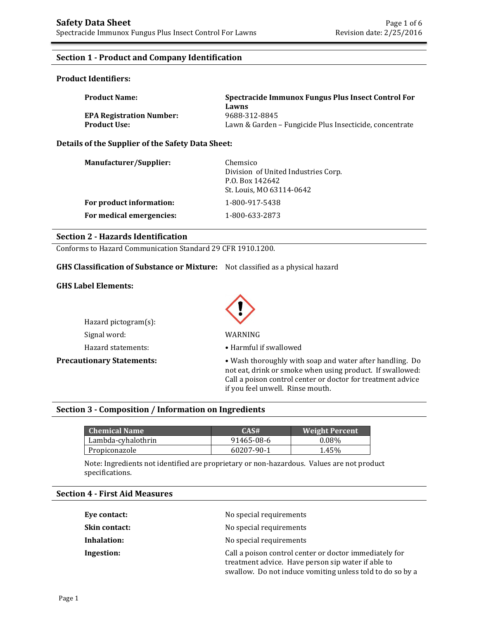#### **Section 1 - Product and Company Identification**

#### **Product Identifiers:**

| <b>Product Name:</b>            | Spectracide Immunox Fungus Plus Insect Control For      |  |
|---------------------------------|---------------------------------------------------------|--|
|                                 | Lawns                                                   |  |
| <b>EPA Registration Number:</b> | 9688-312-8845                                           |  |
| <b>Product Use:</b>             | Lawn & Garden – Fungicide Plus Insecticide, concentrate |  |

#### **Details of the Supplier of the Safety Data Sheet:**

| Manufacturer/Supplier:   | Chemsico<br>Division of United Industries Corp.<br>P.O. Box 142642<br>St. Louis, MO 63114-0642 |
|--------------------------|------------------------------------------------------------------------------------------------|
| For product information: | 1-800-917-5438                                                                                 |
| For medical emergencies: | 1-800-633-2873                                                                                 |

#### **Section 2 - Hazards Identification**

Conforms to Hazard Communication Standard 29 CFR 1910.1200.

#### **GHS Classification of Substance or Mixture:** Not classified as a physical hazard

#### **GHS Label Elements:**

Hazard pictogram(s): Signal word: WARNING Hazard statements: • • Harmful if swallowed



**Precautionary Statements:** • Wash thoroughly with soap and water after handling. Do not eat, drink or smoke when using product. If swallowed: Call a poison control center or doctor for treatment advice if you feel unwell. Rinse mouth.

#### **Section 3 - Composition / Information on Ingredients**

| <b>Chemical Name</b> | CAS#       | <b>Weight Percent</b> |
|----------------------|------------|-----------------------|
| Lambda-cyhalothrin   | 91465-08-6 | $0.08\%$              |
| Propiconazole        | 60207-90-1 | 1.45%                 |

Note: Ingredients not identified are proprietary or non-hazardous. Values are not product specifications.

#### **Section 4 - First Aid Measures**

| Eye contact:         | No special requirements                                                                                                                                                   |
|----------------------|---------------------------------------------------------------------------------------------------------------------------------------------------------------------------|
| <b>Skin contact:</b> | No special requirements                                                                                                                                                   |
| Inhalation:          | No special requirements                                                                                                                                                   |
| Ingestion:           | Call a poison control center or doctor immediately for<br>treatment advice. Have person sip water if able to<br>swallow. Do not induce vomiting unless told to do so by a |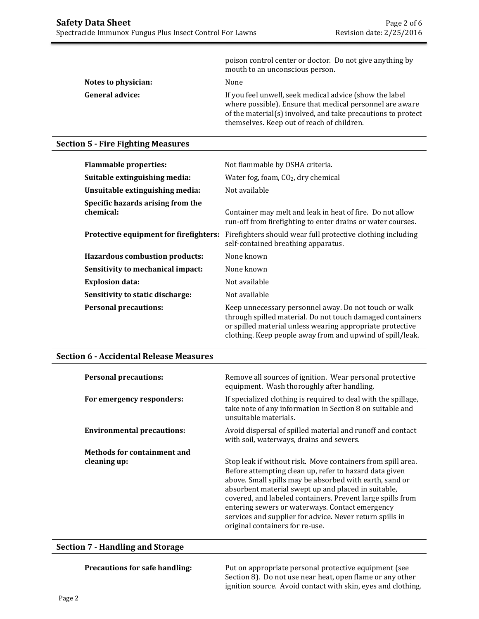|                        | poison control center or doctor. Do not give anything by<br>mouth to an unconscious person.                                                                                                                                       |
|------------------------|-----------------------------------------------------------------------------------------------------------------------------------------------------------------------------------------------------------------------------------|
| Notes to physician:    | None                                                                                                                                                                                                                              |
| <b>General advice:</b> | If you feel unwell, seek medical advice (show the label<br>where possible). Ensure that medical personnel are aware<br>of the material(s) involved, and take precautions to protect<br>themselves. Keep out of reach of children. |

### **Section 5 - Fire Fighting Measures**

| <b>Flammable properties:</b>                   | Not flammable by OSHA criteria.                                                                                                                                                                                                              |
|------------------------------------------------|----------------------------------------------------------------------------------------------------------------------------------------------------------------------------------------------------------------------------------------------|
| Suitable extinguishing media:                  | Water fog, foam, $CO2$ , dry chemical                                                                                                                                                                                                        |
| Unsuitable extinguishing media:                | Not available                                                                                                                                                                                                                                |
| Specific hazards arising from the<br>chemical: | Container may melt and leak in heat of fire. Do not allow<br>run-off from firefighting to enter drains or water courses.                                                                                                                     |
| Protective equipment for firefighters:         | Firefighters should wear full protective clothing including<br>self-contained breathing apparatus.                                                                                                                                           |
| <b>Hazardous combustion products:</b>          | None known                                                                                                                                                                                                                                   |
| Sensitivity to mechanical impact:              | None known                                                                                                                                                                                                                                   |
| <b>Explosion data:</b>                         | Not available                                                                                                                                                                                                                                |
| Sensitivity to static discharge:               | Not available                                                                                                                                                                                                                                |
| <b>Personal precautions:</b>                   | Keep unnecessary personnel away. Do not touch or walk<br>through spilled material. Do not touch damaged containers<br>or spilled material unless wearing appropriate protective<br>clothing. Keep people away from and upwind of spill/leak. |

#### **Section 6 - Accidental Release Measures**

| <b>Personal precautions:</b>      | Remove all sources of ignition. Wear personal protective<br>equipment. Wash thoroughly after handling.                                                                                                                                                                                                                                                                                                                                                  |
|-----------------------------------|---------------------------------------------------------------------------------------------------------------------------------------------------------------------------------------------------------------------------------------------------------------------------------------------------------------------------------------------------------------------------------------------------------------------------------------------------------|
| For emergency responders:         | If specialized clothing is required to deal with the spillage,<br>take note of any information in Section 8 on suitable and<br>unsuitable materials.                                                                                                                                                                                                                                                                                                    |
| <b>Environmental precautions:</b> | Avoid dispersal of spilled material and runoff and contact<br>with soil, waterways, drains and sewers.                                                                                                                                                                                                                                                                                                                                                  |
| Methods for containment and       |                                                                                                                                                                                                                                                                                                                                                                                                                                                         |
| cleaning up:                      | Stop leak if without risk. Move containers from spill area.<br>Before attempting clean up, refer to hazard data given<br>above. Small spills may be absorbed with earth, sand or<br>absorbent material swept up and placed in suitable,<br>covered, and labeled containers. Prevent large spills from<br>entering sewers or waterways. Contact emergency<br>services and supplier for advice. Never return spills in<br>original containers for re-use. |

#### **Section 7 - Handling and Storage**

**Precautions for safe handling:** Put on appropriate personal protective equipment (see Section 8). Do not use near heat, open flame or any other ignition source. Avoid contact with skin, eyes and clothing.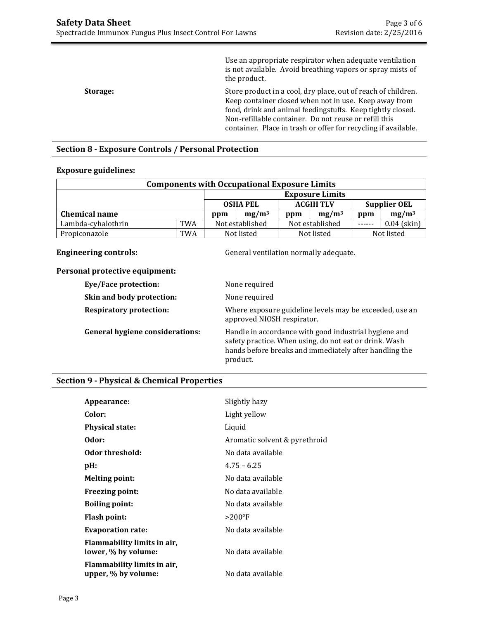|          | Use an appropriate respirator when adequate ventilation<br>is not available. Avoid breathing vapors or spray mists of<br>the product.                                                                                                                                                                           |
|----------|-----------------------------------------------------------------------------------------------------------------------------------------------------------------------------------------------------------------------------------------------------------------------------------------------------------------|
| Storage: | Store product in a cool, dry place, out of reach of children.<br>Keep container closed when not in use. Keep away from<br>food, drink and animal feedingstuffs. Keep tightly closed.<br>Non-refillable container. Do not reuse or refill this<br>container. Place in trash or offer for recycling if available. |

# **Section 8 - Exposure Controls / Personal Protection**

#### **Exposure guidelines:**

| <b>Components with Occupational Exposure Limits</b> |            |                                                            |  |                 |          |       |               |
|-----------------------------------------------------|------------|------------------------------------------------------------|--|-----------------|----------|-------|---------------|
|                                                     |            | <b>Exposure Limits</b>                                     |  |                 |          |       |               |
|                                                     |            | <b>ACGIH TLV</b><br><b>OSHA PEL</b><br><b>Supplier OEL</b> |  |                 |          |       |               |
| <b>Chemical name</b>                                |            | $mg/m^3$<br>ppm                                            |  | ppm             | $mg/m^3$ | ppm   | $mg/m^3$      |
| Lambda-cyhalothrin                                  | <b>TWA</b> | Not established                                            |  | Not established |          | ----- | $0.04$ (skin) |
| Propiconazole                                       | <b>TWA</b> | Not listed                                                 |  | Not listed      |          |       | Not listed    |

**Engineering controls: Controls: General ventilation normally adequate.** 

#### **Personal protective equipment:**

| нат ргоссенте едигритене               |                                                                                                                                                                                       |
|----------------------------------------|---------------------------------------------------------------------------------------------------------------------------------------------------------------------------------------|
| <b>Eye/Face protection:</b>            | None required                                                                                                                                                                         |
| Skin and body protection:              | None required                                                                                                                                                                         |
| <b>Respiratory protection:</b>         | Where exposure guideline levels may be exceeded, use an<br>approved NIOSH respirator.                                                                                                 |
| <b>General hygiene considerations:</b> | Handle in accordance with good industrial hygiene and<br>safety practice. When using, do not eat or drink. Wash<br>hands before breaks and immediately after handling the<br>product. |

#### **Section 9 - Physical & Chemical Properties**

| Appearance:                                        | Slightly hazy                 |
|----------------------------------------------------|-------------------------------|
| Color:                                             | Light yellow                  |
| <b>Physical state:</b>                             | Liquid                        |
| Odor:                                              | Aromatic solvent & pyrethroid |
| Odor threshold:                                    | No data available             |
| $pH$ :                                             | $4.75 - 6.25$                 |
| <b>Melting point:</b>                              | No data available             |
| Freezing point:                                    | No data available             |
| <b>Boiling point:</b>                              | No data available             |
| <b>Flash point:</b>                                | $>200^{\circ}F$               |
| <b>Evaporation rate:</b>                           | No data available             |
| Flammability limits in air,<br>lower, % by volume: | No data available             |
| Flammability limits in air,<br>upper, % by volume: | No data available             |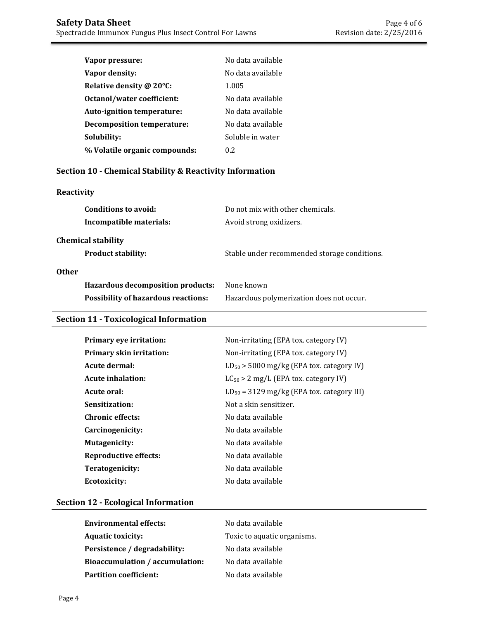| Vapor pressure:               | No data available  |
|-------------------------------|--------------------|
| Vapor density:                | No data available  |
| Relative density @ 20°C:      | 1.005              |
| Octanol/water coefficient:    | No data available  |
| Auto-ignition temperature:    | No data available  |
| Decomposition temperature:    | No data available. |
| Solubility:                   | Soluble in water   |
| % Volatile organic compounds: | 02                 |
|                               |                    |

### **Section 10 - Chemical Stability & Reactivity Information**

#### **Reactivity**

| Conditions to avoid:<br>Incompatible materials: | Do not mix with other chemicals.<br>Avoid strong oxidizers. |                                              |
|-------------------------------------------------|-------------------------------------------------------------|----------------------------------------------|
| <b>Chemical stability</b>                       |                                                             |                                              |
| <b>Product stability:</b>                       |                                                             | Stable under recommended storage conditions. |
| <b>Other</b>                                    |                                                             |                                              |
| Hazardous decomposition products:               | None known                                                  |                                              |
| <b>Possibility of hazardous reactions:</b>      |                                                             | Hazardous polymerization does not occur.     |

# **Section 11 - Toxicological Information**

| Primary eye irritation:         | Non-irritating (EPA tox. category IV)          |
|---------------------------------|------------------------------------------------|
| <b>Primary skin irritation:</b> | Non-irritating (EPA tox. category IV)          |
| Acute dermal:                   | $LD_{50}$ > 5000 mg/kg (EPA tox. category IV)  |
| Acute inhalation:               | $LC_{50} > 2$ mg/L (EPA tox. category IV)      |
| Acute oral:                     | $LD_{50} = 3129$ mg/kg (EPA tox. category III) |
| Sensitization:                  | Not a skin sensitizer.                         |
| <b>Chronic effects:</b>         | No data available                              |
| Carcinogenicity:                | No data available                              |
| <b>Mutagenicity:</b>            | No data available                              |
| <b>Reproductive effects:</b>    | No data available                              |
| Teratogenicity:                 | No data available                              |
| <b>Ecotoxicity:</b>             | No data available                              |
|                                 |                                                |

# **Section 12 - Ecological Information**

| <b>Environmental effects:</b>          | No data available           |
|----------------------------------------|-----------------------------|
| <b>Aquatic toxicity:</b>               | Toxic to aquatic organisms. |
| Persistence / degradability:           | No data available           |
| <b>Bioaccumulation / accumulation:</b> | No data available           |
| <b>Partition coefficient:</b>          | No data available           |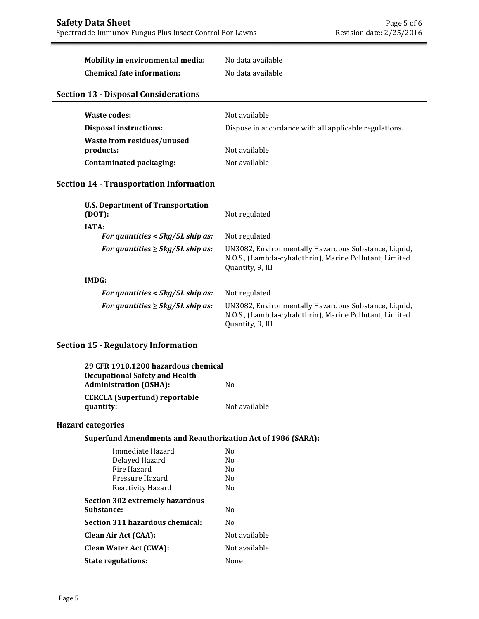# **Mobility in environmental media:** No data available

**Chemical fate information:** No data available

### **Section 13 - Disposal Considerations**

| Waste codes:                            | Not available                                          |
|-----------------------------------------|--------------------------------------------------------|
| Disposal instructions:                  | Dispose in accordance with all applicable regulations. |
| Waste from residues/unused<br>products: | Not available                                          |
| Contaminated packaging:                 | Not available                                          |

#### **Section 14 - Transportation Information**

| <b>U.S. Department of Transportation</b><br>(DOT): | Not regulated                                                                                                                       |
|----------------------------------------------------|-------------------------------------------------------------------------------------------------------------------------------------|
| <b>IATA:</b>                                       |                                                                                                                                     |
| For quantities $<$ 5kg/5L ship as:                 | Not regulated                                                                                                                       |
| For quantities $\geq$ 5kg/5L ship as:              | UN3082, Environmentally Hazardous Substance, Liquid,<br>N.O.S., (Lambda-cyhalothrin), Marine Pollutant, Limited<br>Quantity, 9, III |
| IMDG:                                              |                                                                                                                                     |
| For quantities $<$ 5kg/5L ship as:                 | Not regulated                                                                                                                       |
| For quantities $\geq$ 5kg/5L ship as:              | UN3082, Environmentally Hazardous Substance, Liquid,<br>N.O.S., (Lambda-cyhalothrin), Marine Pollutant, Limited<br>Quantity, 9, III |

# **Section 15 - Regulatory Information**

| 29 CFR 1910.1200 hazardous chemical<br><b>Occupational Safety and Health</b><br><b>Administration (OSHA):</b> | No.            |
|---------------------------------------------------------------------------------------------------------------|----------------|
| <b>CERCLA (Superfund) reportable</b><br>quantity:                                                             | Not available  |
| <b>Hazard categories</b>                                                                                      |                |
| <b>Superfund Amendments and Reauthorization Act of 1986 (SARA):</b>                                           |                |
| Immediate Hazard                                                                                              | No.            |
| Delayed Hazard                                                                                                | No.            |
| Fire Hazard                                                                                                   | N <sub>0</sub> |
| Pressure Hazard                                                                                               | No.            |
| Reactivity Hazard                                                                                             | Nο             |
| <b>Section 302 extremely hazardous</b>                                                                        |                |
| Substance:                                                                                                    | No.            |
| Section 311 hazardous chemical:                                                                               | No.            |
| <b>Clean Air Act (CAA):</b>                                                                                   | Not available  |
| <b>Clean Water Act (CWA):</b>                                                                                 | Not available  |
| <b>State regulations:</b>                                                                                     | None           |